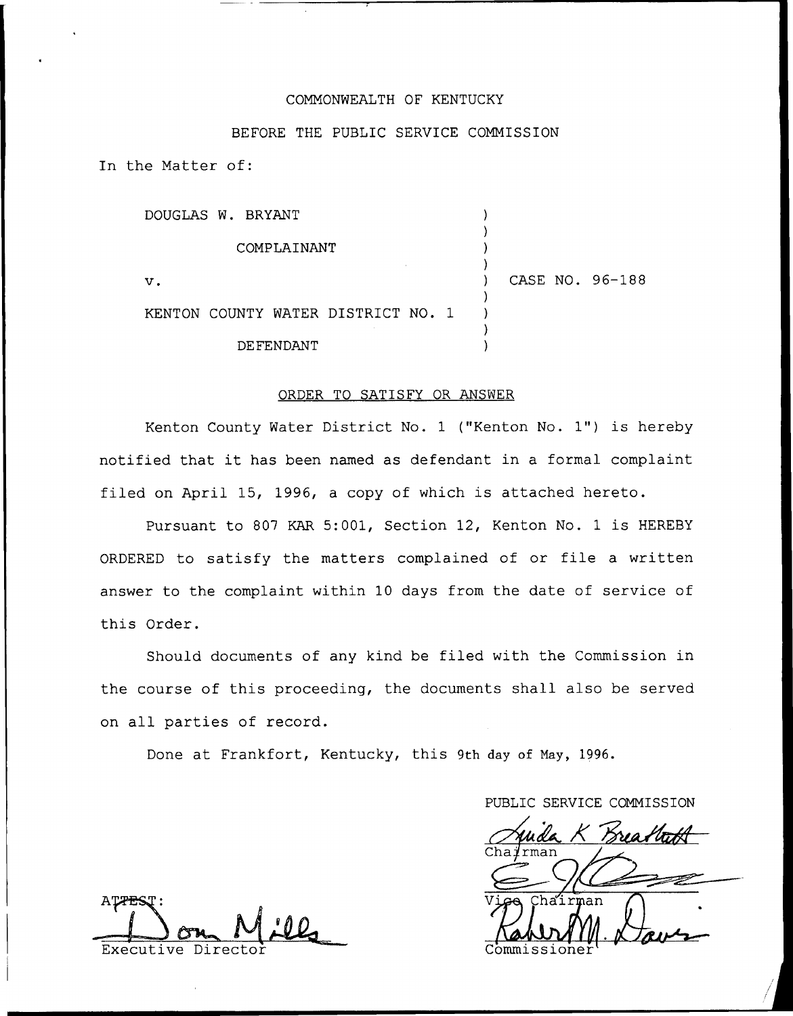### COMMONWEALTH OF KENTUCKY

### BEFORE THE PUBLIC SERVICE COMMISSION

In the Matter of:

| DOUGLAS W. BRYANT                  |  |                 |
|------------------------------------|--|-----------------|
| COMPLAINANT                        |  |                 |
| v.                                 |  | CASE NO. 96-188 |
| KENTON COUNTY WATER DISTRICT NO. 1 |  |                 |
| DE FENDANT                         |  |                 |

#### ORDER TO SATISFY OR ANSWER

Kenton County Water District No. <sup>1</sup> ("Kenton No. 1") is hereby notified that it has been named as defendant in <sup>a</sup> formal complaint filed on April 15, 1996, <sup>a</sup> copy of which is attached hereto.

Pursuant to 807 KAR 5:001, Section 12, Kenton No. 1 is HEREBY ORDERED to satisfy the matters complained of or file <sup>a</sup> written answer to the complaint within 10 days from the date of service of this Order.

Should documents of any kind be filed with the Commission in the course of this proceeding, the documents shall also be served on all parties of record.

Done at Frankfort, Kentucky, this 9th day of Nay, 1996.

PUBLIC SERVICE COMMISSION

Viga Chairman

ATTES Executive Director Commissione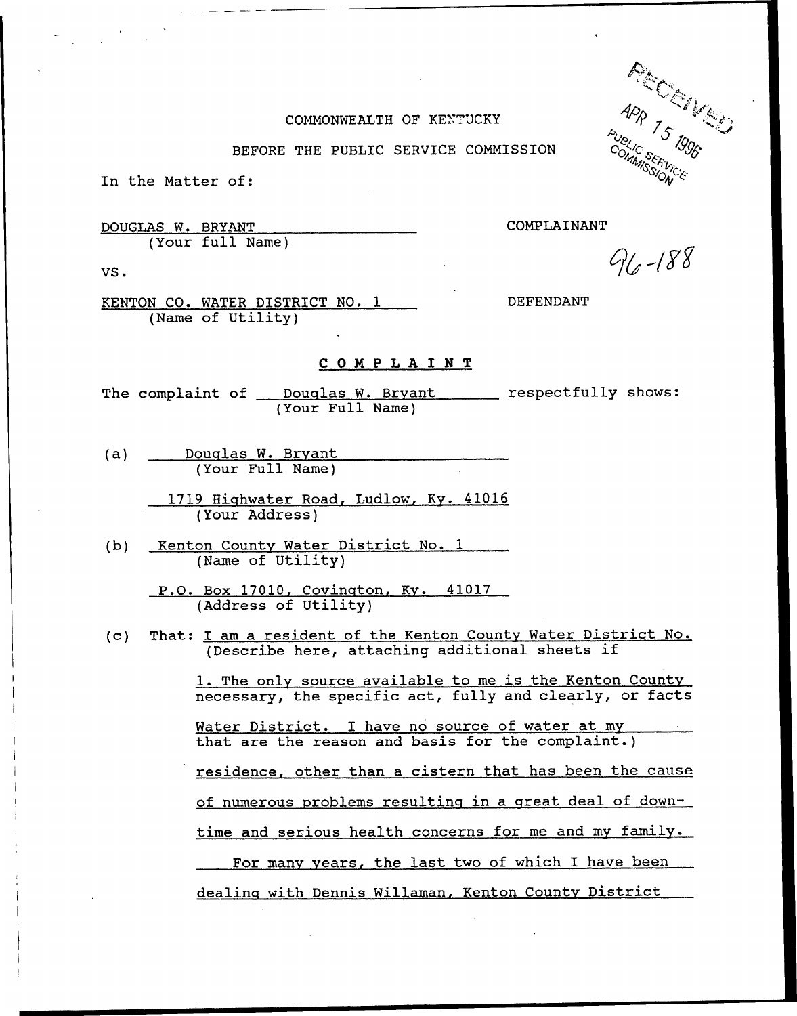### COMMONWEALTH OF KENTUCKY

BEFORE THE PUBLIC SERVICE COMMISSION

In the Matter of:

DOUGLAS W. BRYANT (Your full Name) COMPLAINANT

VS.

KENTON CO. WATER DISTRICT NO. 1 (Name of Utility)

### DEFENDANT

## COMPLAINT

The complaint of <u>Douglas W. Bryant and respectfully</u> shows (Your Full Name)

- (a) Douglas W. Brvant (Your Full Name)
	- 1719 Highwater Road, Ludlow, Ky. 41016 (Your Address)
- (b) Kenton County Water District No. 1 (Name of Utility)
	- P.O. Box 17010, Covinqton, Kv. 41017 (Address of Utility)
- (c) That: I am a resident of the Kenton County Water District No. (Describe here, attaching additional sheets if

1. The only source available to me is the Kenton County necessary, the specific act, fully and clearly, or facts

Water District. I have no source of water at my that are the reason and basis for the complaint.)

residence, other than a cistern that has been the cause

of numerous problems resulting in a great deal of down-

time and serious health concerns for me and my family.

For many years, the last two of which I have been

dealing with Dennis Willaman, Kenton County District

APR<br><sup>1811</sup>6 75 1996<br><sup>DIAMUSERIE</sup> <sup>NSSITVI</sup>C'E

 $96 - 188$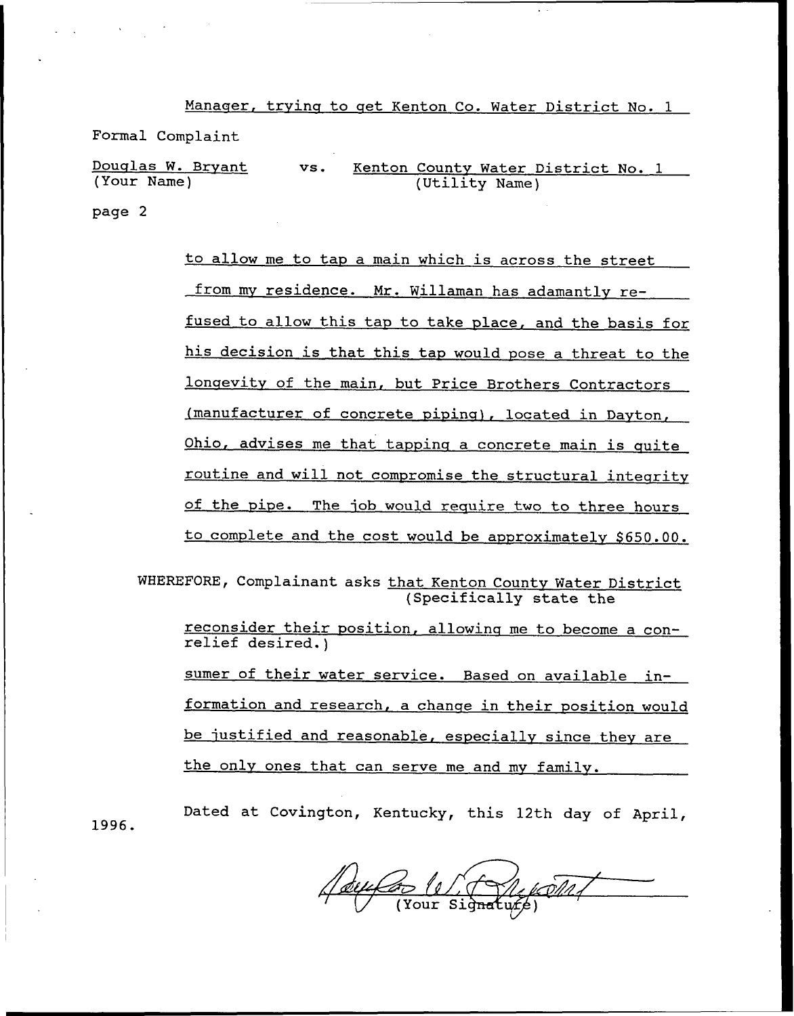Manaqer, trvinq to qet Kenton Co. Water District No. <sup>1</sup>

Formal Complaint

Douqlas W. Brvant (Your Name) vs. Kenton County Water District No. 1 (Utility Name) page 2

> to allow me to tap a main which is across the street from my residence. Mr. Willaman has adamantly refused to allow this tap to take place, and the basis for his decision is that this tap would pose a threat to the longevity of the main, but Price Brothers Contractors (manufacturer of concrete pipinq), located in Dayton, Ohio, advises me that tapping a concrete main is quite routine and will not compromise the structural integrity of the pipe. The iob would require two to three hours to complete and the cost would be approximately \$650.00.

WHEREFORE, Complainant asks that Kenton County Water District (Specifically state the

reconsider their position, allowinq me to become <sup>a</sup> con- relief desired.)

sumer of their water service. Based on available information and research, a chanqe in their position would be justified and reasonable, especially since they are the only ones that can serve me and my family.

Dated at Covington, Kentucky, this 12th day of April,

(tour (1)

1996.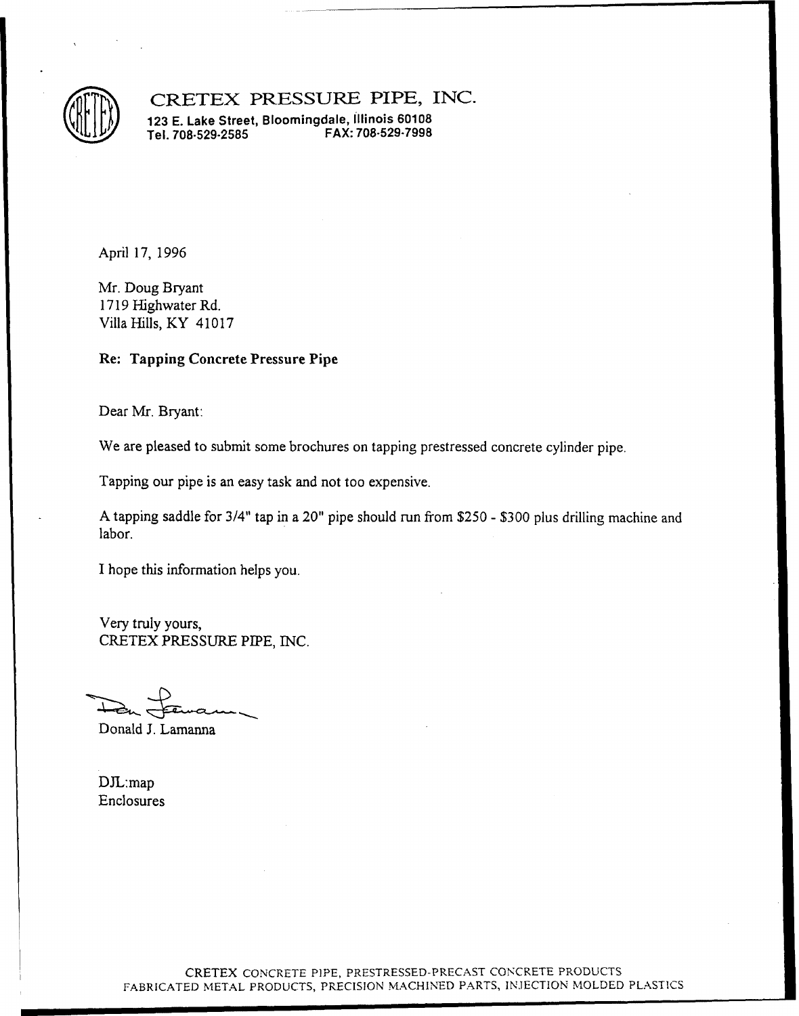

CRETEX PRESSURE PIPE, INC.

123 E. Lake Street, Bloomingdale, illinois 60108 Tel. 708-529-2585

April 17, 1996

Mr. Doug Bryant 1719 Highwater Rd. Villa Hills, KY 41017

### Re: Tapping Concrete Pressure Pipe

Dear Mr. Bryant:

We are pleased to submit some brochures on tapping prestressed concrete cylinder pipe.

Tapping our pipe is an easy task and not too expensive.

<sup>A</sup> tapping saddle for 3/4" tap in a 20" pipe should run from \$250 - \$300 plus drilling machine and labor.

I hope this information helps you.

Very truly yours, CRETEX PRESSURE PIPE, INC.

Donald J. Lamanna

DJL:map Enclosures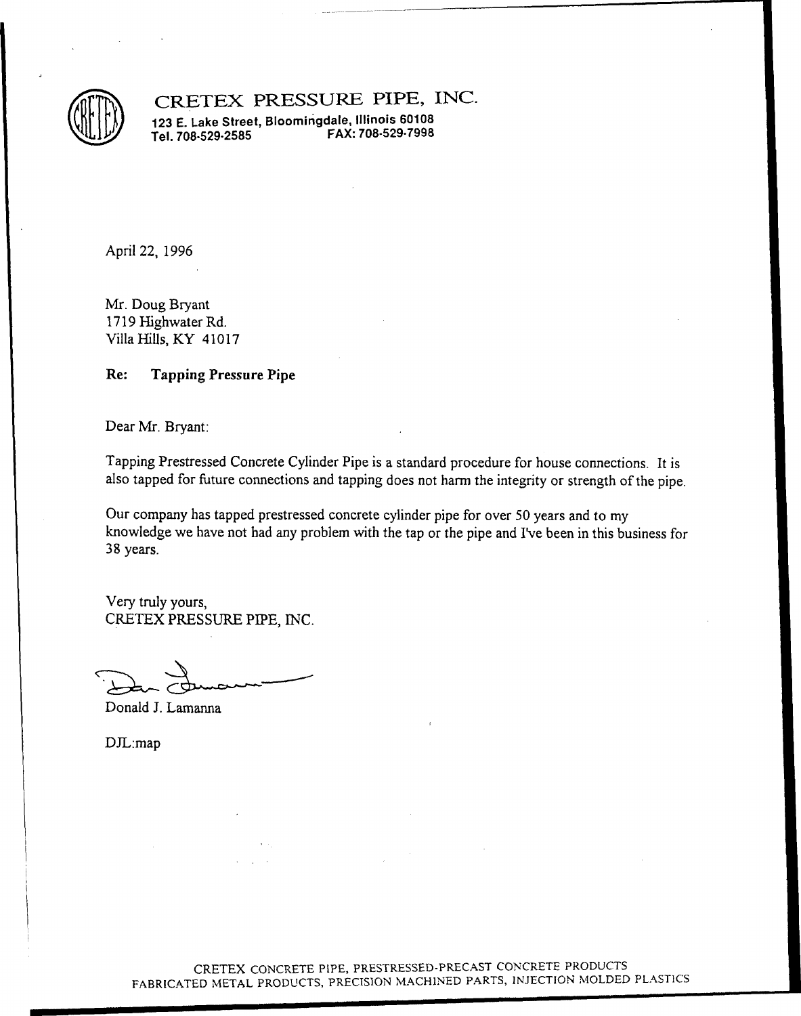

CRETEX PRESSURE PIPE, INC.

123 E. Lake Street, Bloomirigdale, illinois 60108 FAX: 708-529-7998

April 22, 1996

Mr. Doug Bryant 1719 Highwater Rd. Villa Hills, KY 41017

### Re: Tapping Pressure Pipe

Dear Mr. Bryant:

Tapping Prestressed Concrete Cylinder Pipe is a standard procedure for house connections. It is also tapped for future connections and tapping does not harm the integrity or strength of the pipe.

Our company has tapped prestressed concrete cylinder pipe for over 50 years and to m y knowledge we have not had any problem with the tap or the pipe and I've been in this business for 38 years.

Very truly yours, CRETEX PRESSURE PIPE, INC.

Donald J. Lamanna

DJL:map

CRETEX CONCRETE PIPE, PRESTRESSED-PRECAST CONCRETE PRODUCTS FABRICATED METAL PRODUCTS, PRECISION MACHINED PARTS, INJECTION MOLDED PLASTICS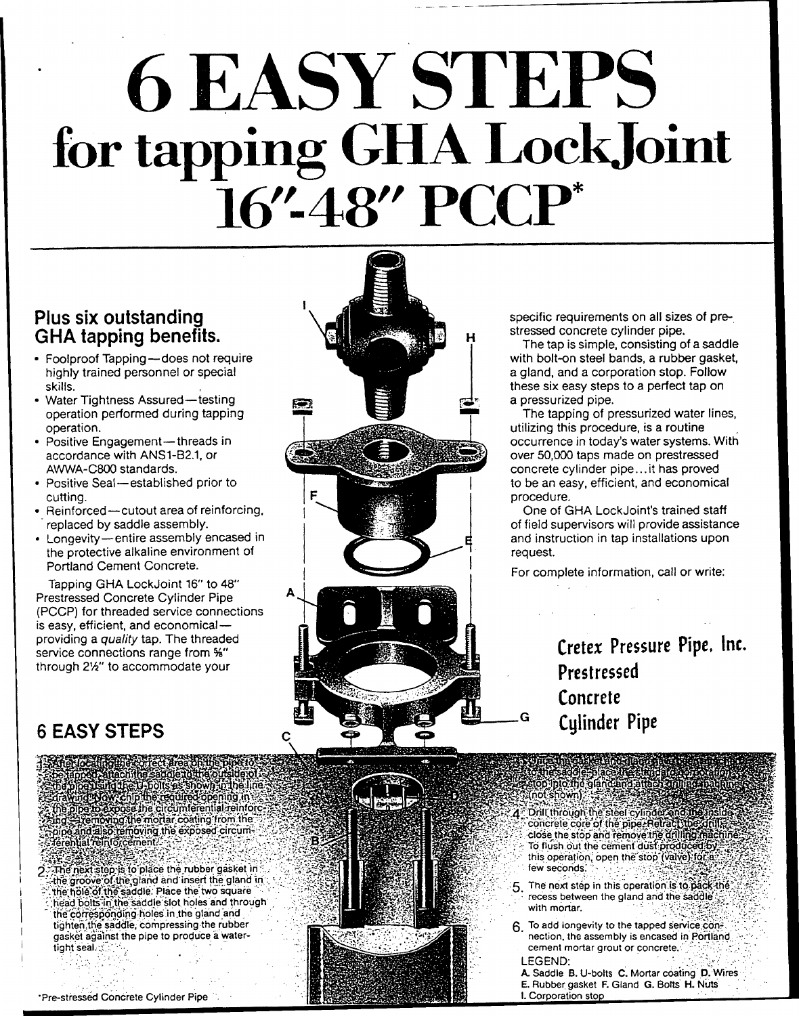# 'ASY'S 0 LAS for tapping GHA LockJoint  $''$  PCC

### Plus six outstanding GHA tapping benefits.

- <sup>~</sup> Foolproof Tapping —does not require highly trained personnel or special skills.
- <sup>~</sup> Water Tightness Assured —testing operation performed during tapping operation.
- <sup>~</sup> Positive Engagement —threads in accordance with ANS1-82.1, or AWWA-C800 standards.
- <sup>~</sup> Positive Seal—established prior to cutting.
- <sup>~</sup> Reinforced —cutout area of reinforcing, replaced by saddle assembly.
- Longevity entire assembly encased in the protective alkaline environment of Portland Cement Concrete.

Tapping GHA Lock Joint 16" to 48" Prestressed Concrete Cylinder Pipe (PCCP) for threaded service connections is easy, efficient, and economical providing a quality tap. The threaded service connections range from %" through 2'A" to accommodate your

# 6 EASY STEPS

The figure of echanical probability of the property of the property of the property of the property of the property of the property of the property of the property of the property of the continent in the line of the proper

The next step is to place the rubber gasket in the groove of the gland and insert the gland in the hole of the saddle. Place the two square head bolts in the saddle slot holes and through

the corresponding holes in the gland and tighten the saddle, compressing the rubber gasket against the pipe to produce a watertight seal.



specific requirements on all sizes of prestressed concrete cylinder pipe.

The tap is simple, consisting of a saddle with bolt-on steel bands, a rubber gasket, a gland, and a corporation stop. Follow these six easy steps to a perfect tap on a pressurized pipe.

The tapping of pressurized water lines, utilizing this procedure, is a routine occurrence in today's water systems. With over 50,000 taps made on prestressed concrete cylinder pipe... it has proved to be an easy, efficient, and economical procedure.

One of GHA Lock Joint's trained staff of field supervisors will provide assistance and instruction in tap installations upon request.

For complete information, call or write:

Cretex Pressure Pipe, Inc. Prestressed Concrete Cylinder Pipe

..<sup>~</sup> -.' ;o"po: ''hgfan <sup>d</sup> ''< -.~(noYshovvn)':."~ 1~+..:, .  $A$ : Drill through the steel cylinder and the steel cyritology. -close the stop and remove the drilling machine. To flush out the cement dust produced by this operation, open the stop (valve) for a<br>few seconds:

G

 $\cdot$   $\cdot$ 

5. The next step in this operation is to pack the with mortar.<br>
With mortar.<br>
With mortar.

> 6 To add longevity to the tapped Service con-'. nection, the assembly is encased in Portland cement mortar grout or concrete. LEGEND:

A. Saddle B. U-bolts C. Mortar coating D. Wires E. Rubber gasket F. Gland G. Bolts H, Nuts I. Corporation stop